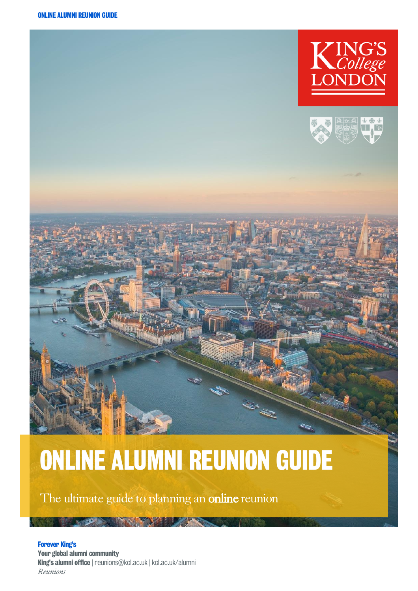



# ONLINE ALUMNI REUNION GUIDE

The ultimate guide to planning an online reunion

Forever King's Your global alumni community King's alumni office | reunions@kcl.ac.uk | kcl.ac.uk/alumni *Reunions*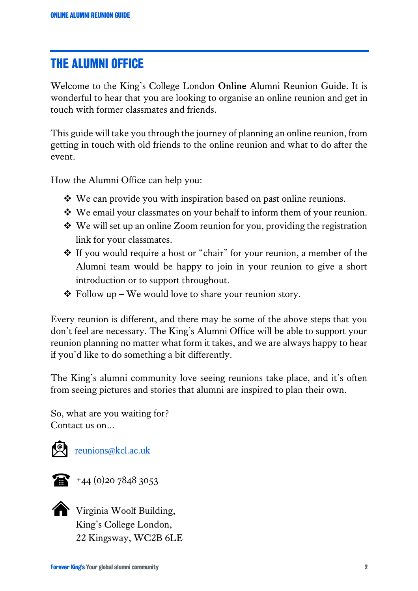## THE ALUMNI OFFICE

Welcome to the King's College London **Online** Alumni Reunion Guide. It is wonderful to hear that you are looking to organise an online reunion and get in touch with former classmates and friends.

This guide will take you through the journey of planning an online reunion, from getting in touch with old friends to the online reunion and what to do after the event.

How the Alumni Office can help you:

- ❖ We can provide you with inspiration based on past online reunions.
- ❖ We email your classmates on your behalf to inform them of your reunion.
- ❖ We will set up an online Zoom reunion for you, providing the registration link for your classmates.
- ❖ If you would require a host or "chair" for your reunion, a member of the Alumni team would be happy to join in your reunion to give a short introduction or to support throughout.
- $\triangle$  Follow up We would love to share your reunion story.

Every reunion is different, and there may be some of the above steps that you don't feel are necessary. The King's Alumni Office will be able to support your reunion planning no matter what form it takes, and we are always happy to hear if you'd like to do something a bit differently.

The King's alumni community love seeing reunions take place, and it's often from seeing pictures and stories that alumni are inspired to plan their own.

So, what are you waiting for? Contact us on…





+44 (0)20 7848 3053



Virginia Woolf Building, King's College London, 22 Kingsway, WC2B 6LE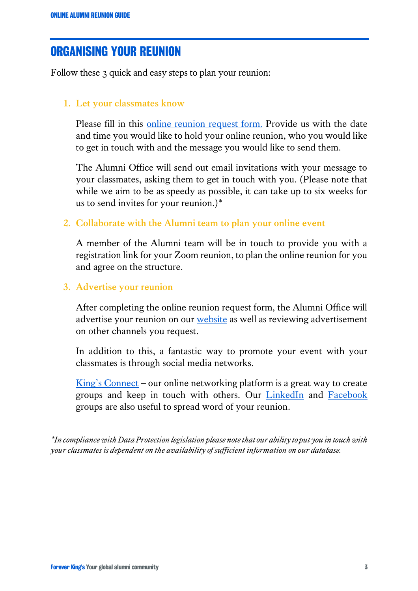## ORGANISING YOUR REUNION

Follow these 3 quick and easy steps to plan your reunion:

### **1. Let your classmates know**

Please fill in this [online reunion request form](https://form.jotformeu.com/73102552226345). Provide us with the date and time you would like to hold your online reunion, who you would like to get in touch with and the message you would like to send them.

The Alumni Office will send out email invitations with your message to your classmates, asking them to get in touch with you. (Please note that while we aim to be as speedy as possible, it can take up to six weeks for us to send invites for your reunion.)\*

#### **2. Collaborate with the Alumni team to plan your online event**

A member of the Alumni team will be in touch to provide you with a registration link for your Zoom reunion, to plan the online reunion for you and agree on the structure.

#### **3. Advertise your reunion**

After completing the online reunion request form, the Alumni Office will advertise your reunion on our [website](https://alumni.kcl.ac.uk/alumni-community/alumni-events/reunion-listings) as well as reviewing advertisement on other channels you request.

In addition to this, a fantastic way to promote your event with your classmates is through social media networks.

[King's Connect](https://kingsconnect.org.uk/) – our online networking platform is a great way to create groups and keep in touch with others. Our [LinkedIn](https://www.linkedin.com/groups/148199/) and [Facebook](https://en-gb.facebook.com/KCLalumni/) groups are also useful to spread word of your reunion.

*\*In compliance with Data Protection legislation please note that our ability to put you in touch with your classmates is dependent on the availability of sufficient information on our database.*